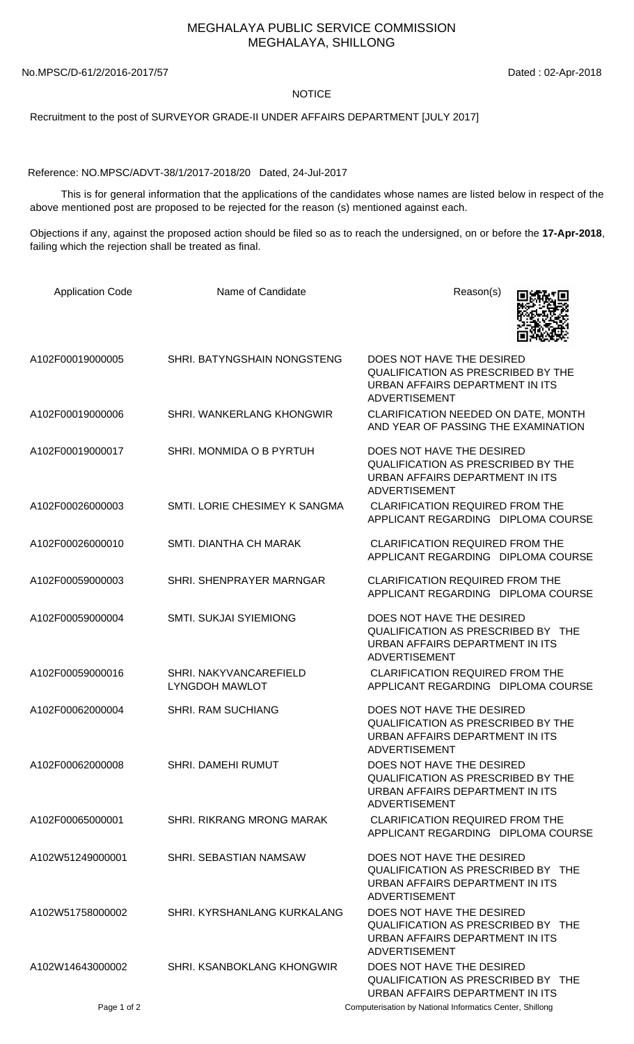## MEGHALAYA PUBLIC SERVICE COMMISSION MEGHALAYA, SHILLONG

No.MPSC/D-61/2/2016-2017/57 Dated : 02-Apr-2018

## NOTICE

Recruitment to the post of SURVEYOR GRADE-II UNDER AFFAIRS DEPARTMENT [JULY 2017]

Reference: NO.MPSC/ADVT-38/1/2017-2018/20 Dated, 24-Jul-2017

 This is for general information that the applications of the candidates whose names are listed below in respect of the above mentioned post are proposed to be rejected for the reason (s) mentioned against each.

Objections if any, against the proposed action should be filed so as to reach the undersigned, on or before the **17-Apr-2018**, failing which the rejection shall be treated as final.

| <b>Application Code</b> | Name of Candidate                               | Reason(s)                                                                                                                         |
|-------------------------|-------------------------------------------------|-----------------------------------------------------------------------------------------------------------------------------------|
| A102F00019000005        | SHRI. BATYNGSHAIN NONGSTENG                     | DOES NOT HAVE THE DESIRED<br>QUALIFICATION AS PRESCRIBED BY THE<br>URBAN AFFAIRS DEPARTMENT IN ITS<br><b>ADVERTISEMENT</b>        |
| A102F00019000006        | SHRI. WANKERLANG KHONGWIR                       | CLARIFICATION NEEDED ON DATE, MONTH<br>AND YEAR OF PASSING THE EXAMINATION                                                        |
| A102F00019000017        | SHRI. MONMIDA O B PYRTUH                        | DOES NOT HAVE THE DESIRED<br><b>QUALIFICATION AS PRESCRIBED BY THE</b><br>URBAN AFFAIRS DEPARTMENT IN ITS<br><b>ADVERTISEMENT</b> |
| A102F00026000003        | SMTI. LORIE CHESIMEY K SANGMA                   | <b>CLARIFICATION REQUIRED FROM THE</b><br>APPLICANT REGARDING DIPLOMA COURSE                                                      |
| A102F00026000010        | SMTI. DIANTHA CH MARAK                          | <b>CLARIFICATION REQUIRED FROM THE</b><br>APPLICANT REGARDING DIPLOMA COURSE                                                      |
| A102F00059000003        | SHRI. SHENPRAYER MARNGAR                        | <b>CLARIFICATION REQUIRED FROM THE</b><br>APPLICANT REGARDING DIPLOMA COURSE                                                      |
| A102F00059000004        | <b>SMTI. SUKJAI SYIEMIONG</b>                   | DOES NOT HAVE THE DESIRED<br>QUALIFICATION AS PRESCRIBED BY THE<br>URBAN AFFAIRS DEPARTMENT IN ITS<br><b>ADVERTISEMENT</b>        |
| A102F00059000016        | SHRI. NAKYVANCAREFIELD<br><b>LYNGDOH MAWLOT</b> | <b>CLARIFICATION REQUIRED FROM THE</b><br>APPLICANT REGARDING DIPLOMA COURSE                                                      |
| A102F00062000004        | <b>SHRI. RAM SUCHIANG</b>                       | DOES NOT HAVE THE DESIRED<br><b>QUALIFICATION AS PRESCRIBED BY THE</b><br>URBAN AFFAIRS DEPARTMENT IN ITS<br>ADVERTISEMENT        |
| A102F00062000008        | <b>SHRI. DAMEHI RUMUT</b>                       | DOES NOT HAVE THE DESIRED<br><b>QUALIFICATION AS PRESCRIBED BY THE</b><br>URBAN AFFAIRS DEPARTMENT IN ITS<br><b>ADVERTISEMENT</b> |
| A102F00065000001        | SHRI. RIKRANG MRONG MARAK                       | <b>CLARIFICATION REQUIRED FROM THE</b><br>APPLICANT REGARDING DIPLOMA COURSE                                                      |
| A102W51249000001        | SHRI. SEBASTIAN NAMSAW                          | DOES NOT HAVE THE DESIRED<br>QUALIFICATION AS PRESCRIBED BY THE<br>URBAN AFFAIRS DEPARTMENT IN ITS<br><b>ADVERTISEMENT</b>        |
| A102W51758000002        | SHRI, KYRSHANLANG KURKALANG                     | DOES NOT HAVE THE DESIRED<br>QUALIFICATION AS PRESCRIBED BY THE<br>URBAN AFFAIRS DEPARTMENT IN ITS<br><b>ADVERTISEMENT</b>        |
| A102W14643000002        | SHRI. KSANBOKLANG KHONGWIR                      | DOES NOT HAVE THE DESIRED<br>QUALIFICATION AS PRESCRIBED BY THE<br>URBAN AFFAIRS DEPARTMENT IN ITS                                |
| Page 1 of 2             |                                                 | Computerisation by National Informatics Center, Shillong                                                                          |